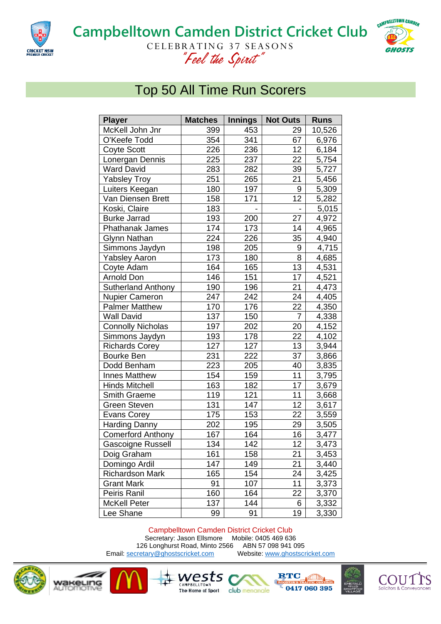



## Top 50 All Time Run Scorers

| <b>Player</b>            | <b>Matches</b> | <b>Innings</b> | <b>Not Outs</b>  | <b>Runs</b> |
|--------------------------|----------------|----------------|------------------|-------------|
| McKell John Jnr          | 399            | 453            | 29               | 10,526      |
| O'Keefe Todd             | 354            | 341            | 67               | 6,976       |
| <b>Coyte Scott</b>       | 226            | 236            | 12               | 6,184       |
| Lonergan Dennis          | 225            | 237            | 22               | 5,754       |
| <b>Ward David</b>        | 283            | 282            | 39               | 5,727       |
| <b>Yabsley Troy</b>      | 251            | 265            | 21               | 5,456       |
| Luiters Keegan           | 180            | 197            | $\boldsymbol{9}$ | 5,309       |
| Van Diensen Brett        | 158            | 171            | 12               | 5,282       |
| Koski, Claire            | 183            |                |                  | 5,015       |
| <b>Burke Jarrad</b>      | 193            | 200            | 27               | 4,972       |
| <b>Phathanak James</b>   | 174            | 173            | 14               | 4,965       |
| <b>Glynn Nathan</b>      | 224            | 226            | 35               | 4,940       |
| Simmons Jaydyn           | 198            | 205            | 9                | 4,715       |
| <b>Yabsley Aaron</b>     | 173            | 180            | 8                | 4,685       |
| Coyte Adam               | 164            | 165            | 13               | 4,531       |
| Arnold Don               | 146            | 151            | 17               | 4,521       |
| Sutherland Anthony       | 190            | 196            | 21               | 4,473       |
| Nupier Cameron           | 247            | 242            | 24               | 4,405       |
| <b>Palmer Matthew</b>    | 170            | 176            | 22               | 4,350       |
| <b>Wall David</b>        | 137            | 150            | 7                | 4,338       |
| <b>Connolly Nicholas</b> | 197            | 202            | 20               | 4,152       |
| Simmons Jaydyn           | 193            | 178            | 22               | 4,102       |
| <b>Richards Corey</b>    | 127            | 127            | 13               | 3,944       |
| Bourke Ben               | 231            | 222            | 37               | 3,866       |
| Dodd Benham              | 223            | 205            | 40               | 3,835       |
| <b>Innes Matthew</b>     | 154            | 159            | 11               | 3,795       |
| <b>Hinds Mitchell</b>    | 163            | 182            | 17               | 3,679       |
| Smith Graeme             | 119            | 121            | 11               | 3,668       |
| Green Steven             | 131            | 147            | 12               | 3,617       |
| Evans Corey              | 175            | 153            | 22               | 3,559       |
| <b>Harding Danny</b>     | 202            | 195            | 29               | 3,505       |
| <b>Comerford Anthony</b> | 167            | 164            | 16               | 3,477       |
| Gascoigne Russell        | 134            | 142            | 12               | 3,473       |
| Doig Graham              | 161            | 158            | 21               | 3,453       |
| Domingo Ardil            | 147            | 149            | 21               | 3,440       |
| Richardson Mark          | 165            | 154            | 24               | 3,425       |
| <b>Grant Mark</b>        | 91             | 107            | 11               | 3,373       |
| Peiris Ranil             | 160            | 164            | 22               | 3,370       |
| <b>McKell Peter</b>      | 137            | 144            | 6                | 3,332       |
| Lee Shane                | 99             | 91             | 19               | 3,330       |

## Campbelltown Camden District Cricket Club

Secretary: Jason Ellsmore Mobile: 0405 469 636<br>6 Longhurst Road, Minto 2566 ABN 57 098 941 095 126 Longhurst Road, Minto 2566 ABN 57 098 941 095<br>
Stretary@ghostscricket.com Website: www.ghostscricket.com Email[: secretary@ghostscricket.com](mailto:secretary@ghostscricket.com)